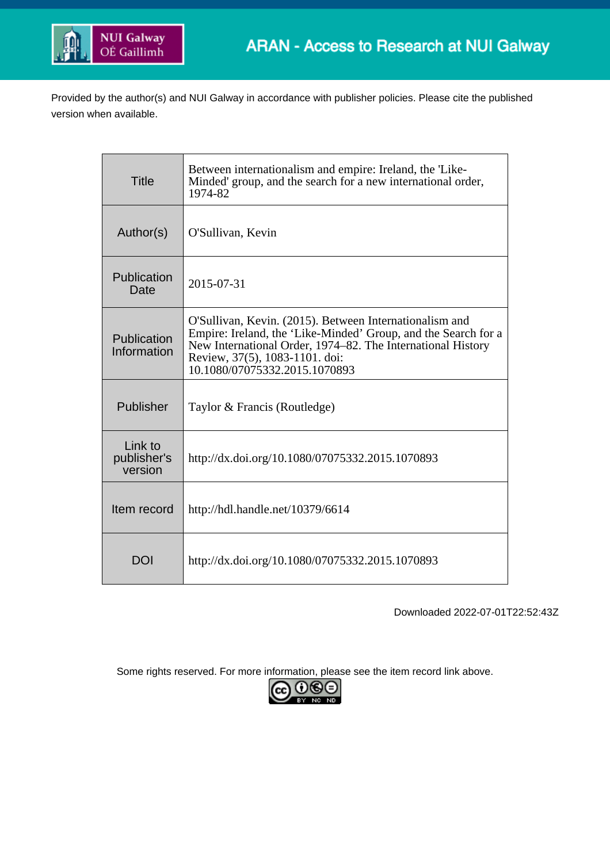

Provided by the author(s) and NUI Galway in accordance with publisher policies. Please cite the published version when available.

| <b>Title</b>                      | Between internationalism and empire: Ireland, the 'Like-<br>Minded' group, and the search for a new international order,<br>1974-82                                                                                                                         |
|-----------------------------------|-------------------------------------------------------------------------------------------------------------------------------------------------------------------------------------------------------------------------------------------------------------|
| Author(s)                         | O'Sullivan, Kevin                                                                                                                                                                                                                                           |
| Publication<br>Date               | 2015-07-31                                                                                                                                                                                                                                                  |
| Publication<br>Information        | O'Sullivan, Kevin. (2015). Between Internationalism and<br>Empire: Ireland, the 'Like-Minded' Group, and the Search for a<br>New International Order, 1974–82. The International History<br>Review, 37(5), 1083-1101. doi:<br>10.1080/07075332.2015.1070893 |
| Publisher                         | Taylor & Francis (Routledge)                                                                                                                                                                                                                                |
| Link to<br>publisher's<br>version | http://dx.doi.org/10.1080/07075332.2015.1070893                                                                                                                                                                                                             |
| Item record                       | http://hdl.handle.net/10379/6614                                                                                                                                                                                                                            |
| DOI                               | http://dx.doi.org/10.1080/07075332.2015.1070893                                                                                                                                                                                                             |

Downloaded 2022-07-01T22:52:43Z

Some rights reserved. For more information, please see the item record link above.

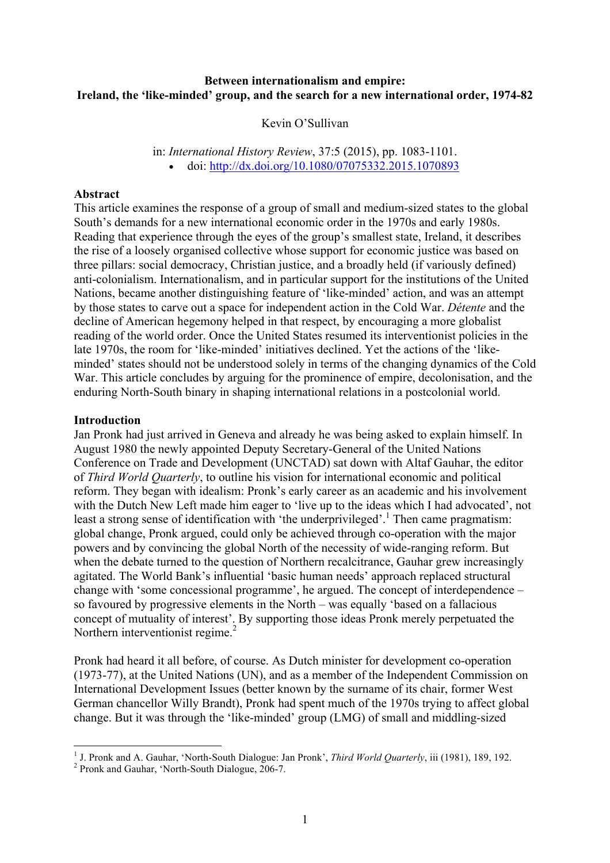# **Between internationalism and empire: Ireland, the 'like-minded' group, and the search for a new international order, 1974-82**

Kevin O'Sullivan

in: *International History Review*, 37:5 (2015), pp. 1083-1101. • doi: http://dx.doi.org/10.1080/07075332.2015.1070893

#### **Abstract**

This article examines the response of a group of small and medium-sized states to the global South's demands for a new international economic order in the 1970s and early 1980s. Reading that experience through the eyes of the group's smallest state, Ireland, it describes the rise of a loosely organised collective whose support for economic justice was based on three pillars: social democracy, Christian justice, and a broadly held (if variously defined) anti-colonialism. Internationalism, and in particular support for the institutions of the United Nations, became another distinguishing feature of 'like-minded' action, and was an attempt by those states to carve out a space for independent action in the Cold War. *Détente* and the decline of American hegemony helped in that respect, by encouraging a more globalist reading of the world order. Once the United States resumed its interventionist policies in the late 1970s, the room for 'like-minded' initiatives declined. Yet the actions of the 'likeminded' states should not be understood solely in terms of the changing dynamics of the Cold War. This article concludes by arguing for the prominence of empire, decolonisation, and the enduring North-South binary in shaping international relations in a postcolonial world.

#### **Introduction**

Jan Pronk had just arrived in Geneva and already he was being asked to explain himself. In August 1980 the newly appointed Deputy Secretary-General of the United Nations Conference on Trade and Development (UNCTAD) sat down with Altaf Gauhar, the editor of *Third World Quarterly*, to outline his vision for international economic and political reform. They began with idealism: Pronk's early career as an academic and his involvement with the Dutch New Left made him eager to 'live up to the ideas which I had advocated', not least a strong sense of identification with 'the underprivileged'.<sup>1</sup> Then came pragmatism: global change, Pronk argued, could only be achieved through co-operation with the major powers and by convincing the global North of the necessity of wide-ranging reform. But when the debate turned to the question of Northern recalcitrance, Gauhar grew increasingly agitated. The World Bank's influential 'basic human needs' approach replaced structural change with 'some concessional programme', he argued. The concept of interdependence – so favoured by progressive elements in the North – was equally 'based on a fallacious concept of mutuality of interest'. By supporting those ideas Pronk merely perpetuated the Northern interventionist regime.<sup>2</sup>

Pronk had heard it all before, of course. As Dutch minister for development co-operation (1973-77), at the United Nations (UN), and as a member of the Independent Commission on International Development Issues (better known by the surname of its chair, former West German chancellor Willy Brandt), Pronk had spent much of the 1970s trying to affect global change. But it was through the 'like-minded' group (LMG) of small and middling-sized

<sup>&</sup>lt;sup>1</sup> J. Pronk and A. Gauhar, 'North-South Dialogue: Jan Pronk', *Third World Quarterly*, iii (1981), 189, 192. <sup>2</sup> Pronk and Gauhar. 'North-South Dialogue, 206-7.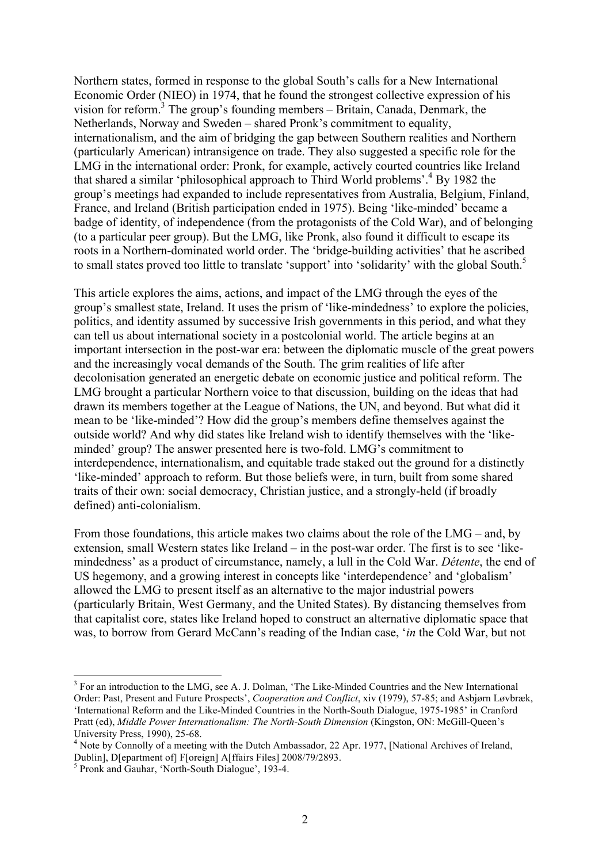Northern states, formed in response to the global South's calls for a New International Economic Order (NIEO) in 1974, that he found the strongest collective expression of his vision for reform.<sup>3</sup> The group's founding members – Britain, Canada, Denmark, the Netherlands, Norway and Sweden – shared Pronk's commitment to equality, internationalism, and the aim of bridging the gap between Southern realities and Northern (particularly American) intransigence on trade. They also suggested a specific role for the LMG in the international order: Pronk, for example, actively courted countries like Ireland that shared a similar 'philosophical approach to Third World problems'.4 By 1982 the group's meetings had expanded to include representatives from Australia, Belgium, Finland, France, and Ireland (British participation ended in 1975). Being 'like-minded' became a badge of identity, of independence (from the protagonists of the Cold War), and of belonging (to a particular peer group). But the LMG, like Pronk, also found it difficult to escape its roots in a Northern-dominated world order. The 'bridge-building activities' that he ascribed to small states proved too little to translate 'support' into 'solidarity' with the global South.<sup>5</sup>

This article explores the aims, actions, and impact of the LMG through the eyes of the group's smallest state, Ireland. It uses the prism of 'like-mindedness' to explore the policies, politics, and identity assumed by successive Irish governments in this period, and what they can tell us about international society in a postcolonial world. The article begins at an important intersection in the post-war era: between the diplomatic muscle of the great powers and the increasingly vocal demands of the South. The grim realities of life after decolonisation generated an energetic debate on economic justice and political reform. The LMG brought a particular Northern voice to that discussion, building on the ideas that had drawn its members together at the League of Nations, the UN, and beyond. But what did it mean to be 'like-minded'? How did the group's members define themselves against the outside world? And why did states like Ireland wish to identify themselves with the 'likeminded' group? The answer presented here is two-fold. LMG's commitment to interdependence, internationalism, and equitable trade staked out the ground for a distinctly 'like-minded' approach to reform. But those beliefs were, in turn, built from some shared traits of their own: social democracy, Christian justice, and a strongly-held (if broadly defined) anti-colonialism.

From those foundations, this article makes two claims about the role of the LMG – and, by extension, small Western states like Ireland – in the post-war order. The first is to see 'likemindedness' as a product of circumstance, namely, a lull in the Cold War. *Détente*, the end of US hegemony, and a growing interest in concepts like 'interdependence' and 'globalism' allowed the LMG to present itself as an alternative to the major industrial powers (particularly Britain, West Germany, and the United States). By distancing themselves from that capitalist core, states like Ireland hoped to construct an alternative diplomatic space that was, to borrow from Gerard McCann's reading of the Indian case, '*in* the Cold War, but not

<sup>&</sup>lt;sup>3</sup> For an introduction to the LMG, see A. J. Dolman, 'The Like-Minded Countries and the New International Order: Past, Present and Future Prospects', *Cooperation and Conflict*, xiv (1979), 57-85; and Asbjørn Løvbræk, 'International Reform and the Like-Minded Countries in the North-South Dialogue, 1975-1985' in Cranford Pratt (ed), *Middle Power Internationalism: The North-South Dimension* (Kingston, ON: McGill-Queen's University Press, 1990), 25-68.<br><sup>4</sup> Note by Connolly of a meeting with the Dutch Ambassador, 22 Apr. 1977, [National Archives of Ireland,

Dublin], D[epartment of] F[oreign] A[ffairs Files] 2008/79/2893. <sup>5</sup> Pronk and Gauhar, 'North-South Dialogue', 193-4.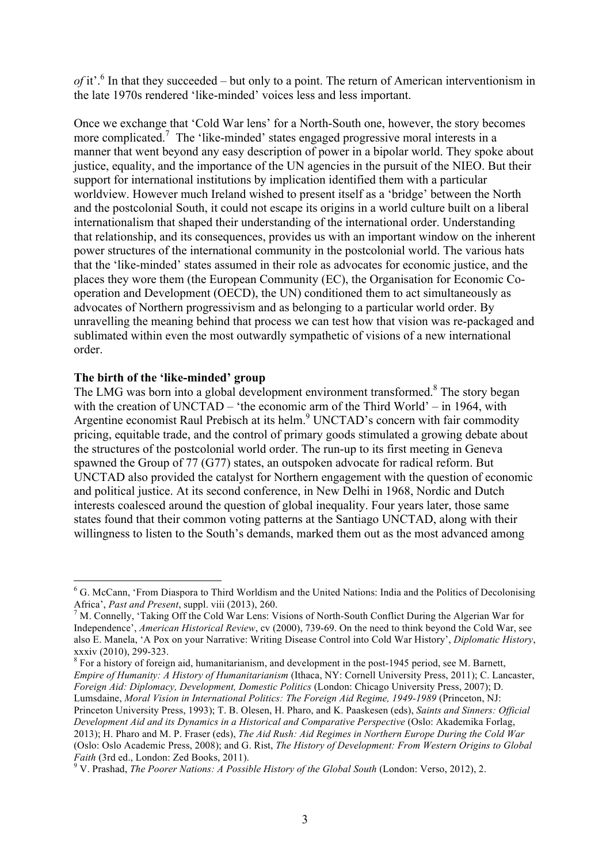*of* it'.<sup>6</sup> In that they succeeded – but only to a point. The return of American interventionism in the late 1970s rendered 'like-minded' voices less and less important.

Once we exchange that 'Cold War lens' for a North-South one, however, the story becomes more complicated.<sup>7</sup> The 'like-minded' states engaged progressive moral interests in a manner that went beyond any easy description of power in a bipolar world. They spoke about justice, equality, and the importance of the UN agencies in the pursuit of the NIEO. But their support for international institutions by implication identified them with a particular worldview. However much Ireland wished to present itself as a 'bridge' between the North and the postcolonial South, it could not escape its origins in a world culture built on a liberal internationalism that shaped their understanding of the international order. Understanding that relationship, and its consequences, provides us with an important window on the inherent power structures of the international community in the postcolonial world. The various hats that the 'like-minded' states assumed in their role as advocates for economic justice, and the places they wore them (the European Community (EC), the Organisation for Economic Cooperation and Development (OECD), the UN) conditioned them to act simultaneously as advocates of Northern progressivism and as belonging to a particular world order. By unravelling the meaning behind that process we can test how that vision was re-packaged and sublimated within even the most outwardly sympathetic of visions of a new international order.

## **The birth of the 'like-minded' group**

The LMG was born into a global development environment transformed.<sup>8</sup> The story began with the creation of UNCTAD – 'the economic arm of the Third World' – in 1964, with Argentine economist Raul Prebisch at its helm.<sup>9</sup> UNCTAD's concern with fair commodity pricing, equitable trade, and the control of primary goods stimulated a growing debate about the structures of the postcolonial world order. The run-up to its first meeting in Geneva spawned the Group of 77 (G77) states, an outspoken advocate for radical reform. But UNCTAD also provided the catalyst for Northern engagement with the question of economic and political justice. At its second conference, in New Delhi in 1968, Nordic and Dutch interests coalesced around the question of global inequality. Four years later, those same states found that their common voting patterns at the Santiago UNCTAD, along with their willingness to listen to the South's demands, marked them out as the most advanced among

 $8$  For a history of foreign aid, humanitarianism, and development in the post-1945 period, see M. Barnett, *Empire of Humanity: A History of Humanitarianism* (Ithaca, NY: Cornell University Press, 2011); C. Lancaster, *Foreign Aid: Diplomacy, Development, Domestic Politics* (London: Chicago University Press, 2007); D. Lumsdaine, *Moral Vision in International Politics: The Foreign Aid Regime, 1949-1989* (Princeton, NJ: Princeton University Press, 1993); T. B. Olesen, H. Pharo, and K. Paaskesen (eds), *Saints and Sinners: Official Development Aid and its Dynamics in a Historical and Comparative Perspective* (Oslo: Akademika Forlag, 2013); H. Pharo and M. P. Fraser (eds), *The Aid Rush: Aid Regimes in Northern Europe During the Cold War* (Oslo: Oslo Academic Press, 2008); and G. Rist, *The History of Development: From Western Origins to Global* 

<sup>&</sup>lt;sup>6</sup> G. McCann, 'From Diaspora to Third Worldism and the United Nations: India and the Politics of Decolonising Africa', *Past and Present*, suppl. viii (2013), 260.<br><sup>7</sup> M. Connelly, 'Taking Off the Cold War Lens: Visions of North-South Conflict During the Algerian War for

Independence', *American Historical Review*, cv (2000), 739-69. On the need to think beyond the Cold War, see also E. Manela, 'A Pox on your Narrative: Writing Disease Control into Cold War History', *Diplomatic History*,

<sup>&</sup>lt;sup>9</sup> V. Prashad, *The Poorer Nations: A Possible History of the Global South* (London: Verso, 2012), 2.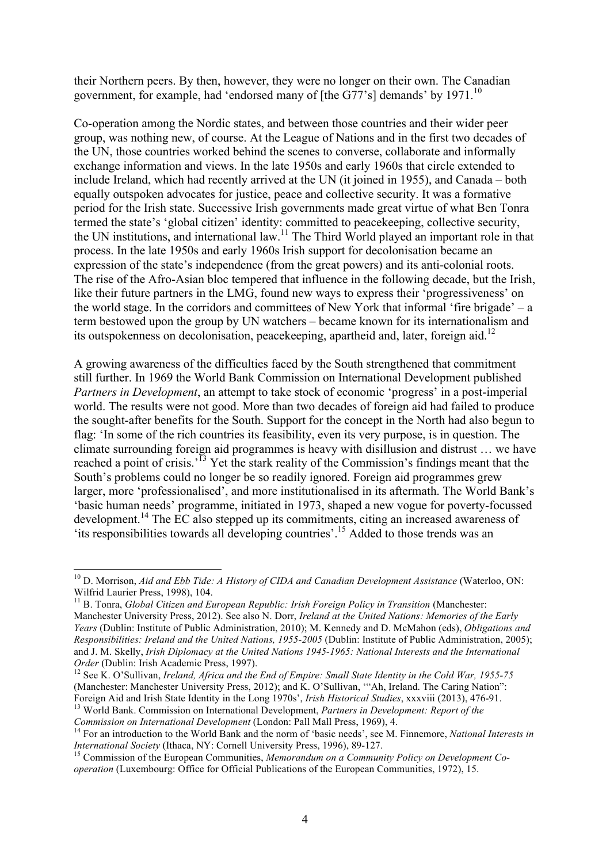their Northern peers. By then, however, they were no longer on their own. The Canadian government, for example, had 'endorsed many of [the G77's] demands' by  $1971$ .<sup>10</sup>

Co-operation among the Nordic states, and between those countries and their wider peer group, was nothing new, of course. At the League of Nations and in the first two decades of the UN, those countries worked behind the scenes to converse, collaborate and informally exchange information and views. In the late 1950s and early 1960s that circle extended to include Ireland, which had recently arrived at the UN (it joined in 1955), and Canada – both equally outspoken advocates for justice, peace and collective security. It was a formative period for the Irish state. Successive Irish governments made great virtue of what Ben Tonra termed the state's 'global citizen' identity: committed to peacekeeping, collective security, the UN institutions, and international law.<sup>11</sup> The Third World played an important role in that process. In the late 1950s and early 1960s Irish support for decolonisation became an expression of the state's independence (from the great powers) and its anti-colonial roots. The rise of the Afro-Asian bloc tempered that influence in the following decade, but the Irish, like their future partners in the LMG, found new ways to express their 'progressiveness' on the world stage. In the corridors and committees of New York that informal 'fire brigade' – a term bestowed upon the group by UN watchers – became known for its internationalism and its outspokenness on decolonisation, peacekeeping, apartheid and, later, foreign aid.<sup>12</sup>

A growing awareness of the difficulties faced by the South strengthened that commitment still further. In 1969 the World Bank Commission on International Development published *Partners in Development*, an attempt to take stock of economic 'progress' in a post-imperial world. The results were not good. More than two decades of foreign aid had failed to produce the sought-after benefits for the South. Support for the concept in the North had also begun to flag: 'In some of the rich countries its feasibility, even its very purpose, is in question. The climate surrounding foreign aid programmes is heavy with disillusion and distrust … we have reached a point of crisis.<sup>'13</sup> Yet the stark reality of the Commission's findings meant that the South's problems could no longer be so readily ignored. Foreign aid programmes grew larger, more 'professionalised', and more institutionalised in its aftermath. The World Bank's 'basic human needs' programme, initiated in 1973, shaped a new vogue for poverty-focussed development.<sup>14</sup> The EC also stepped up its commitments, citing an increased awareness of 'its responsibilities towards all developing countries'.<sup>15</sup> Added to those trends was an

<sup>&</sup>lt;sup>10</sup> D. Morrison, *Aid and Ebb Tide: A History of CIDA and Canadian Development Assistance* (Waterloo, ON: Wilfrid Laurier Press, 1998), 104.

<sup>&</sup>lt;sup>11</sup> B. Tonra, *Global Citizen and European Republic: Irish Foreign Policy in Transition* (Manchester: Manchester University Press, 2012). See also N. Dorr, *Ireland at the United Nations: Memories of the Early Years* (Dublin: Institute of Public Administration, 2010); M. Kennedy and D. McMahon (eds), *Obligations and Responsibilities: Ireland and the United Nations, 1955-2005* (Dublin: Institute of Public Administration, 2005); and J. M. Skelly, *Irish Diplomacy at the United Nations 1945-1965: National Interests and the International* 

<sup>&</sup>lt;sup>12</sup> See K. O'Sullivan, *Ireland, Africa and the End of Empire: Small State Identity in the Cold War, 1955-75* (Manchester: Manchester University Press, 2012); and K. O'Sullivan, "Ah, Ireland. The Caring Nation": Foreign Aid and Irish State Identity in the Long 1970s', *Irish Historical Studies*, xxxviii (2013), 476-91. 13 World Bank. Commission on International Development, *Partners in Development: Report of the* 

*Commission on International Development* (London: Pall Mall Press, 1969), 4.<br><sup>14</sup> For an introduction to the World Bank and the norm of 'basic needs', see M. Finnemore, *National Interests in* 

*International Society* (Ithaca, NY: Cornell University Press, 1996), 89-127.<br><sup>15</sup> Commission of the European Communities, *Memorandum on a Community Policy on Development Co-*

*operation* (Luxembourg: Office for Official Publications of the European Communities, 1972), 15.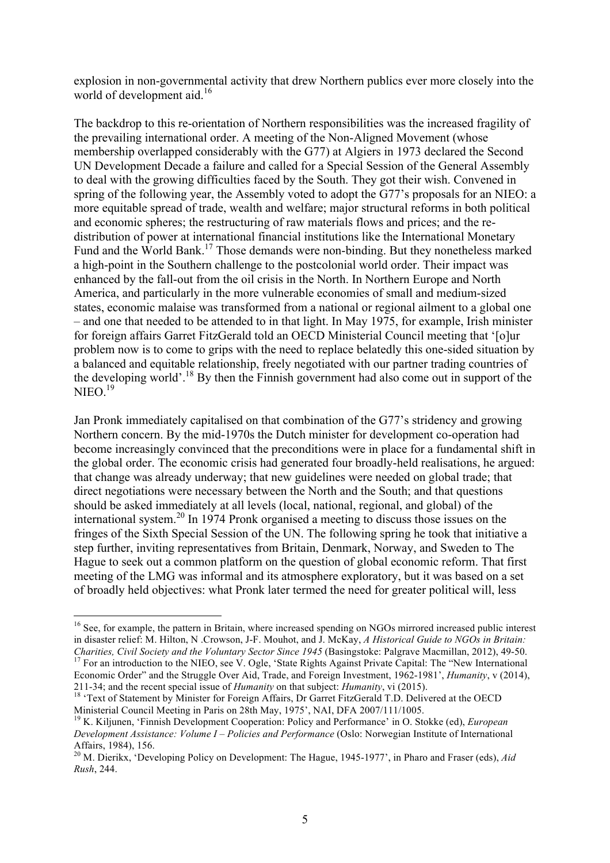explosion in non-governmental activity that drew Northern publics ever more closely into the world of development aid.<sup>16</sup>

The backdrop to this re-orientation of Northern responsibilities was the increased fragility of the prevailing international order. A meeting of the Non-Aligned Movement (whose membership overlapped considerably with the G77) at Algiers in 1973 declared the Second UN Development Decade a failure and called for a Special Session of the General Assembly to deal with the growing difficulties faced by the South. They got their wish. Convened in spring of the following year, the Assembly voted to adopt the G77's proposals for an NIEO: a more equitable spread of trade, wealth and welfare; major structural reforms in both political and economic spheres; the restructuring of raw materials flows and prices; and the redistribution of power at international financial institutions like the International Monetary Fund and the World Bank.<sup>17</sup> Those demands were non-binding. But they nonetheless marked a high-point in the Southern challenge to the postcolonial world order. Their impact was enhanced by the fall-out from the oil crisis in the North. In Northern Europe and North America, and particularly in the more vulnerable economies of small and medium-sized states, economic malaise was transformed from a national or regional ailment to a global one – and one that needed to be attended to in that light. In May 1975, for example, Irish minister for foreign affairs Garret FitzGerald told an OECD Ministerial Council meeting that '[o]ur problem now is to come to grips with the need to replace belatedly this one-sided situation by a balanced and equitable relationship, freely negotiated with our partner trading countries of the developing world'.<sup>18</sup> By then the Finnish government had also come out in support of the  $NIEO.<sup>19</sup>$ 

Jan Pronk immediately capitalised on that combination of the G77's stridency and growing Northern concern. By the mid-1970s the Dutch minister for development co-operation had become increasingly convinced that the preconditions were in place for a fundamental shift in the global order. The economic crisis had generated four broadly-held realisations, he argued: that change was already underway; that new guidelines were needed on global trade; that direct negotiations were necessary between the North and the South; and that questions should be asked immediately at all levels (local, national, regional, and global) of the international system.<sup>20</sup> In 1974 Pronk organised a meeting to discuss those issues on the fringes of the Sixth Special Session of the UN. The following spring he took that initiative a step further, inviting representatives from Britain, Denmark, Norway, and Sweden to The Hague to seek out a common platform on the question of global economic reform. That first meeting of the LMG was informal and its atmosphere exploratory, but it was based on a set of broadly held objectives: what Pronk later termed the need for greater political will, less

<sup>&</sup>lt;sup>16</sup> See, for example, the pattern in Britain, where increased spending on NGOs mirrored increased public interest in disaster relief: M. Hilton, N .Crowson, J-F. Mouhot, and J. McKay, *A Historical Guide to NGOs in Britain:* 

<sup>&</sup>lt;sup>17</sup> For an introduction to the NIEO, see V. Ogle, 'State Rights Against Private Capital: The "New International Economic Order" and the Struggle Over Aid, Trade, and Foreign Investment, 1962-1981', *Humanity*, v (2014), 211-34; and the recent special issue of *Humanity* on that subject: *Humanity*, vi (2015).<br><sup>18</sup> 'Text of Statement by Minister for Foreign Affairs, Dr Garret FitzGerald T.D. Delivered at the OECD

Ministerial Council Meeting in Paris on 28th May, 1975', NAI, DFA 2007/111/1005. <sup>19</sup> K. Kiljunen, 'Finnish Development Cooperation: Policy and Performance' in O. Stokke (ed), *European* 

*Development Assistance: Volume I – Policies and Performance* (Oslo: Norwegian Institute of International Affairs, 1984), 156.

<sup>20</sup> M. Dierikx, 'Developing Policy on Development: The Hague, 1945-1977', in Pharo and Fraser (eds), *Aid Rush*, 244.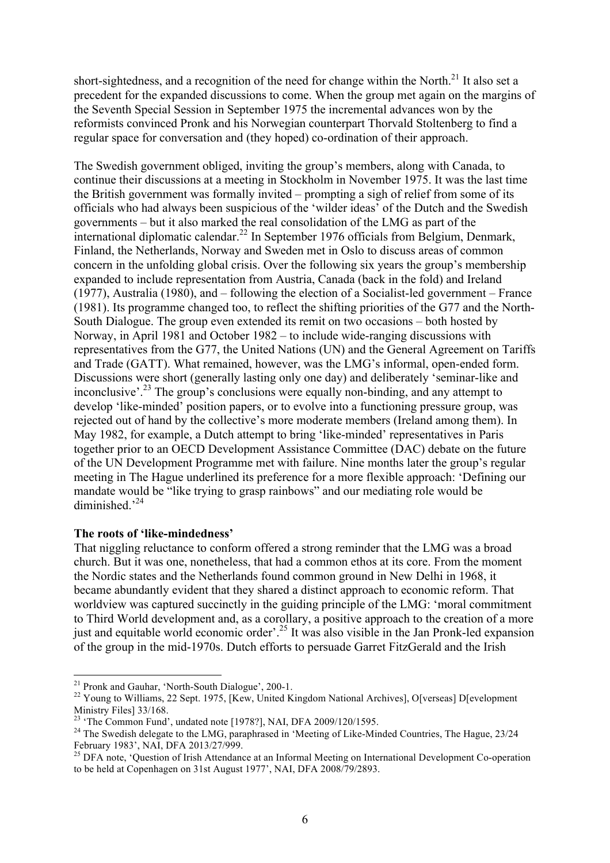short-sightedness, and a recognition of the need for change within the North.<sup>21</sup> It also set a precedent for the expanded discussions to come. When the group met again on the margins of the Seventh Special Session in September 1975 the incremental advances won by the reformists convinced Pronk and his Norwegian counterpart Thorvald Stoltenberg to find a regular space for conversation and (they hoped) co-ordination of their approach.

The Swedish government obliged, inviting the group's members, along with Canada, to continue their discussions at a meeting in Stockholm in November 1975. It was the last time the British government was formally invited – prompting a sigh of relief from some of its officials who had always been suspicious of the 'wilder ideas' of the Dutch and the Swedish governments – but it also marked the real consolidation of the LMG as part of the international diplomatic calendar.<sup>22</sup> In September 1976 officials from Belgium, Denmark, Finland, the Netherlands, Norway and Sweden met in Oslo to discuss areas of common concern in the unfolding global crisis. Over the following six years the group's membership expanded to include representation from Austria, Canada (back in the fold) and Ireland (1977), Australia (1980), and – following the election of a Socialist-led government – France (1981). Its programme changed too, to reflect the shifting priorities of the G77 and the North-South Dialogue. The group even extended its remit on two occasions – both hosted by Norway, in April 1981 and October 1982 – to include wide-ranging discussions with representatives from the G77, the United Nations (UN) and the General Agreement on Tariffs and Trade (GATT). What remained, however, was the LMG's informal, open-ended form. Discussions were short (generally lasting only one day) and deliberately 'seminar-like and inconclusive'.<sup>23</sup> The group's conclusions were equally non-binding, and any attempt to develop 'like-minded' position papers, or to evolve into a functioning pressure group, was rejected out of hand by the collective's more moderate members (Ireland among them). In May 1982, for example, a Dutch attempt to bring 'like-minded' representatives in Paris together prior to an OECD Development Assistance Committee (DAC) debate on the future of the UN Development Programme met with failure. Nine months later the group's regular meeting in The Hague underlined its preference for a more flexible approach: 'Defining our mandate would be "like trying to grasp rainbows" and our mediating role would be diminished<sup>324</sup>

## **The roots of 'like-mindedness'**

That niggling reluctance to conform offered a strong reminder that the LMG was a broad church. But it was one, nonetheless, that had a common ethos at its core. From the moment the Nordic states and the Netherlands found common ground in New Delhi in 1968, it became abundantly evident that they shared a distinct approach to economic reform. That worldview was captured succinctly in the guiding principle of the LMG: 'moral commitment to Third World development and, as a corollary, a positive approach to the creation of a more just and equitable world economic order'.<sup>25</sup> It was also visible in the Jan Pronk-led expansion of the group in the mid-1970s. Dutch efforts to persuade Garret FitzGerald and the Irish

<sup>&</sup>lt;sup>21</sup> Pronk and Gauhar, 'North-South Dialogue', 200-1.<br><sup>22</sup> Young to Williams, 22 Sept. 1975, [Kew, United Kingdom National Archives], O[verseas] D[evelopment

Ministry Files] 33/168.<br><sup>23</sup> 'The Common Fund', undated note [1978?], NAI, DFA 2009/120/1595.<br><sup>24</sup> The Swedish delegate to the LMG, paraphrased in 'Meeting of Like-Minded Countries, The Hague, 23/24<br>February 1983', NAI, DF

<sup>&</sup>lt;sup>25</sup> DFA note, 'Question of Irish Attendance at an Informal Meeting on International Development Co-operation to be held at Copenhagen on 31st August 1977', NAI, DFA 2008/79/2893.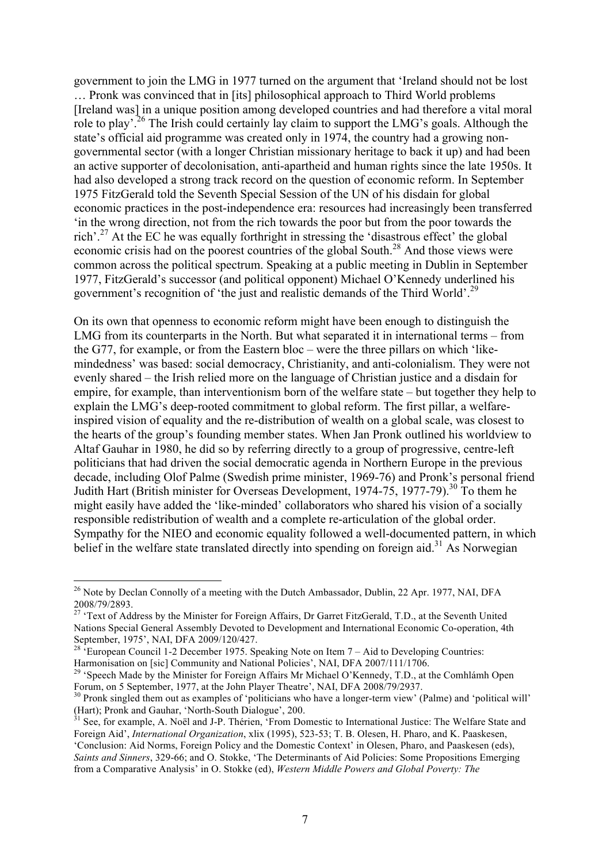government to join the LMG in 1977 turned on the argument that 'Ireland should not be lost … Pronk was convinced that in [its] philosophical approach to Third World problems [Ireland was] in a unique position among developed countries and had therefore a vital moral role to play'.<sup>26</sup> The Irish could certainly lay claim to support the LMG's goals. Although the state's official aid programme was created only in 1974, the country had a growing nongovernmental sector (with a longer Christian missionary heritage to back it up) and had been an active supporter of decolonisation, anti-apartheid and human rights since the late 1950s. It had also developed a strong track record on the question of economic reform. In September 1975 FitzGerald told the Seventh Special Session of the UN of his disdain for global economic practices in the post-independence era: resources had increasingly been transferred 'in the wrong direction, not from the rich towards the poor but from the poor towards the rich'.<sup>27</sup> At the EC he was equally forthright in stressing the 'disastrous effect' the global economic crisis had on the poorest countries of the global South.<sup>28</sup> And those views were common across the political spectrum. Speaking at a public meeting in Dublin in September 1977, FitzGerald's successor (and political opponent) Michael O'Kennedy underlined his government's recognition of 'the just and realistic demands of the Third World'.<sup>29</sup>

On its own that openness to economic reform might have been enough to distinguish the LMG from its counterparts in the North. But what separated it in international terms – from the G77, for example, or from the Eastern bloc – were the three pillars on which 'likemindedness' was based: social democracy, Christianity, and anti-colonialism. They were not evenly shared – the Irish relied more on the language of Christian justice and a disdain for empire, for example, than interventionism born of the welfare state – but together they help to explain the LMG's deep-rooted commitment to global reform. The first pillar, a welfareinspired vision of equality and the re-distribution of wealth on a global scale, was closest to the hearts of the group's founding member states. When Jan Pronk outlined his worldview to Altaf Gauhar in 1980, he did so by referring directly to a group of progressive, centre-left politicians that had driven the social democratic agenda in Northern Europe in the previous decade, including Olof Palme (Swedish prime minister, 1969-76) and Pronk's personal friend Judith Hart (British minister for Overseas Development, 1974-75, 1977-79).<sup>30</sup> To them he might easily have added the 'like-minded' collaborators who shared his vision of a socially responsible redistribution of wealth and a complete re-articulation of the global order. Sympathy for the NIEO and economic equality followed a well-documented pattern, in which belief in the welfare state translated directly into spending on foreign aid.<sup>31</sup> As Norwegian

<sup>&</sup>lt;sup>26</sup> Note by Declan Connolly of a meeting with the Dutch Ambassador, Dublin, 22 Apr. 1977, NAI, DFA 2008/79/2893.

<sup>&</sup>lt;sup>27</sup> 'Text of Address by the Minister for Foreign Affairs, Dr Garret FitzGerald, T.D., at the Seventh United Nations Special General Assembly Devoted to Development and International Economic Co-operation, 4th

September, 1975', NAI, DFA 2009/120/427.<br><sup>28</sup> 'European Council 1-2 December 1975. Speaking Note on Item 7 – Aid to Developing Countries:<br>Harmonisation on [sic] Community and National Policies', NAI, DFA 2007/111/1706.

<sup>&</sup>lt;sup>29</sup> 'Speech Made by the Minister for Foreign Affairs Mr Michael O'Kennedy, T.D., at the Comhlámh Open Forum, on 5 September, 1977, at the John Player Theatre', NAI, DFA 2008/79/2937.

<sup>&</sup>lt;sup>30</sup> Pronk singled them out as examples of 'politicians who have a longer-term view' (Palme) and 'political will' (Hart); Pronk and Gauhar, 'North-South Dialogue', 200.<br><sup>31</sup> See, for example, A. Noël and J-P. Thérien, 'From Domestic to International Justice: The Welfare State and

Foreign Aid', *International Organization*, xlix (1995), 523-53; T. B. Olesen, H. Pharo, and K. Paaskesen, 'Conclusion: Aid Norms, Foreign Policy and the Domestic Context' in Olesen, Pharo, and Paaskesen (eds), *Saints and Sinners*, 329-66; and O. Stokke, 'The Determinants of Aid Policies: Some Propositions Emerging from a Comparative Analysis' in O. Stokke (ed), *Western Middle Powers and Global Poverty: The*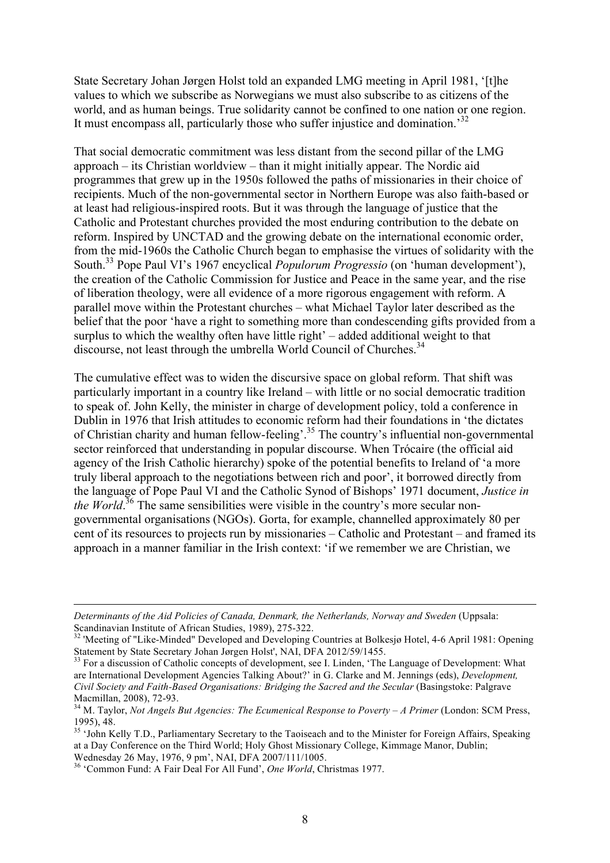State Secretary Johan Jørgen Holst told an expanded LMG meeting in April 1981, '[t]he values to which we subscribe as Norwegians we must also subscribe to as citizens of the world, and as human beings. True solidarity cannot be confined to one nation or one region. It must encompass all, particularly those who suffer injustice and domination.<sup>32</sup>

That social democratic commitment was less distant from the second pillar of the LMG approach – its Christian worldview – than it might initially appear. The Nordic aid programmes that grew up in the 1950s followed the paths of missionaries in their choice of recipients. Much of the non-governmental sector in Northern Europe was also faith-based or at least had religious-inspired roots. But it was through the language of justice that the Catholic and Protestant churches provided the most enduring contribution to the debate on reform. Inspired by UNCTAD and the growing debate on the international economic order, from the mid-1960s the Catholic Church began to emphasise the virtues of solidarity with the South.33 Pope Paul VI's 1967 encyclical *Populorum Progressio* (on 'human development'), the creation of the Catholic Commission for Justice and Peace in the same year, and the rise of liberation theology, were all evidence of a more rigorous engagement with reform. A parallel move within the Protestant churches – what Michael Taylor later described as the belief that the poor 'have a right to something more than condescending gifts provided from a surplus to which the wealthy often have little right' – added additional weight to that discourse, not least through the umbrella World Council of Churches.<sup>34</sup>

The cumulative effect was to widen the discursive space on global reform. That shift was particularly important in a country like Ireland – with little or no social democratic tradition to speak of. John Kelly, the minister in charge of development policy, told a conference in Dublin in 1976 that Irish attitudes to economic reform had their foundations in 'the dictates of Christian charity and human fellow-feeling'.<sup>35</sup> The country's influential non-governmental sector reinforced that understanding in popular discourse. When Trócaire (the official aid agency of the Irish Catholic hierarchy) spoke of the potential benefits to Ireland of 'a more truly liberal approach to the negotiations between rich and poor', it borrowed directly from the language of Pope Paul VI and the Catholic Synod of Bishops' 1971 document, *Justice in*  the World.<sup>36</sup> The same sensibilities were visible in the country's more secular nongovernmental organisations (NGOs). Gorta, for example, channelled approximately 80 per cent of its resources to projects run by missionaries – Catholic and Protestant – and framed its approach in a manner familiar in the Irish context: 'if we remember we are Christian, we

 $\overline{a}$ 

*Determinants of the Aid Policies of Canada, Denmark, the Netherlands, Norway and Sweden* (Uppsala: Scandinavian Institute of African Studies, 1989), 275-322.<br><sup>32</sup> 'Meeting of "Like-Minded" Developed and Developing Countries at Bolkesjø Hotel, 4-6 April 1981: Opening

Statement by State Secretary Johan Jørgen Holst', NAI, DFA 2012/59/1455.<br><sup>33</sup> For a discussion of Catholic concepts of development, see I. Linden, 'The Language of Development: What

are International Development Agencies Talking About?' in G. Clarke and M. Jennings (eds), *Development, Civil Society and Faith-Based Organisations: Bridging the Sacred and the Secular* (Basingstoke: Palgrave Macmillan, 2008), 72-93.<br><sup>34</sup> M. Taylor, *Not Angels But Agencies: The Ecumenical Response to Poverty – A Primer* (London: SCM Press,

<sup>1995), 48.</sup>

<sup>&</sup>lt;sup>35</sup> 'John Kelly T.D., Parliamentary Secretary to the Taoiseach and to the Minister for Foreign Affairs, Speaking at a Day Conference on the Third World; Holy Ghost Missionary College, Kimmage Manor, Dublin; Wednesday 26 May, 1976, 9 pm', NAI, DFA 2007/111/1005.

<sup>&</sup>lt;sup>36</sup> Common Fund: A Fair Deal For All Fund', *One World*, Christmas 1977.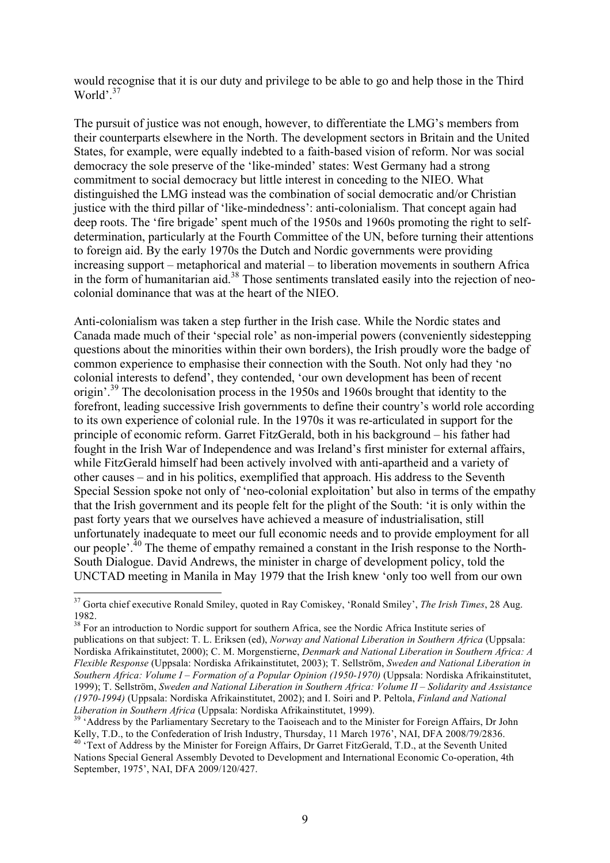would recognise that it is our duty and privilege to be able to go and help those in the Third World<sup>, 37</sup>

The pursuit of justice was not enough, however, to differentiate the LMG's members from their counterparts elsewhere in the North. The development sectors in Britain and the United States, for example, were equally indebted to a faith-based vision of reform. Nor was social democracy the sole preserve of the 'like-minded' states: West Germany had a strong commitment to social democracy but little interest in conceding to the NIEO. What distinguished the LMG instead was the combination of social democratic and/or Christian justice with the third pillar of 'like-mindedness': anti-colonialism. That concept again had deep roots. The 'fire brigade' spent much of the 1950s and 1960s promoting the right to selfdetermination, particularly at the Fourth Committee of the UN, before turning their attentions to foreign aid. By the early 1970s the Dutch and Nordic governments were providing increasing support – metaphorical and material – to liberation movements in southern Africa in the form of humanitarian aid.<sup>38</sup> Those sentiments translated easily into the rejection of neocolonial dominance that was at the heart of the NIEO.

Anti-colonialism was taken a step further in the Irish case. While the Nordic states and Canada made much of their 'special role' as non-imperial powers (conveniently sidestepping questions about the minorities within their own borders), the Irish proudly wore the badge of common experience to emphasise their connection with the South. Not only had they 'no colonial interests to defend', they contended, 'our own development has been of recent origin'.<sup>39</sup> The decolonisation process in the 1950s and 1960s brought that identity to the forefront, leading successive Irish governments to define their country's world role according to its own experience of colonial rule. In the 1970s it was re-articulated in support for the principle of economic reform. Garret FitzGerald, both in his background – his father had fought in the Irish War of Independence and was Ireland's first minister for external affairs, while FitzGerald himself had been actively involved with anti-apartheid and a variety of other causes – and in his politics, exemplified that approach. His address to the Seventh Special Session spoke not only of 'neo-colonial exploitation' but also in terms of the empathy that the Irish government and its people felt for the plight of the South: 'it is only within the past forty years that we ourselves have achieved a measure of industrialisation, still unfortunately inadequate to meet our full economic needs and to provide employment for all our people<sup>'.40</sup> The theme of empathy remained a constant in the Irish response to the North-South Dialogue. David Andrews, the minister in charge of development policy, told the UNCTAD meeting in Manila in May 1979 that the Irish knew 'only too well from our own

<sup>37</sup> Gorta chief executive Ronald Smiley, quoted in Ray Comiskey, 'Ronald Smiley', *The Irish Times*, 28 Aug. 1982.

<sup>&</sup>lt;sup>38</sup> For an introduction to Nordic support for southern Africa, see the Nordic Africa Institute series of publications on that subject: T. L. Eriksen (ed), *Norway and National Liberation in Southern Africa* (Uppsala: Nordiska Afrikainstitutet, 2000); C. M. Morgenstierne, *Denmark and National Liberation in Southern Africa: A Flexible Response* (Uppsala: Nordiska Afrikainstitutet, 2003); T. Sellström, *Sweden and National Liberation in Southern Africa: Volume I – Formation of a Popular Opinion (1950-1970)* (Uppsala: Nordiska Afrikainstitutet, 1999); T. Sellström, *Sweden and National Liberation in Southern Africa: Volume II – Solidarity and Assistance (1970-1994)* (Uppsala: Nordiska Afrikainstitutet, 2002); and I. Soiri and P. Peltola, *Finland and National Liberation in Southern Africa* (Uppsala: Nordiska Afrikainstitutet, 1999).<br><sup>39</sup> 'Address by the Parliamentary Secretary to the Taoiseach and to the Minister for Foreign Affairs, Dr John

Kelly, T.D., to the Confederation of Irish Industry, Thursday, 11 March 1976', NAI, DFA 2008/79/2836.<br><sup>40</sup> 'Text of Address by the Minister for Foreign Affairs, Dr Garret FitzGerald, T.D., at the Seventh United

Nations Special General Assembly Devoted to Development and International Economic Co-operation, 4th September, 1975', NAI, DFA 2009/120/427.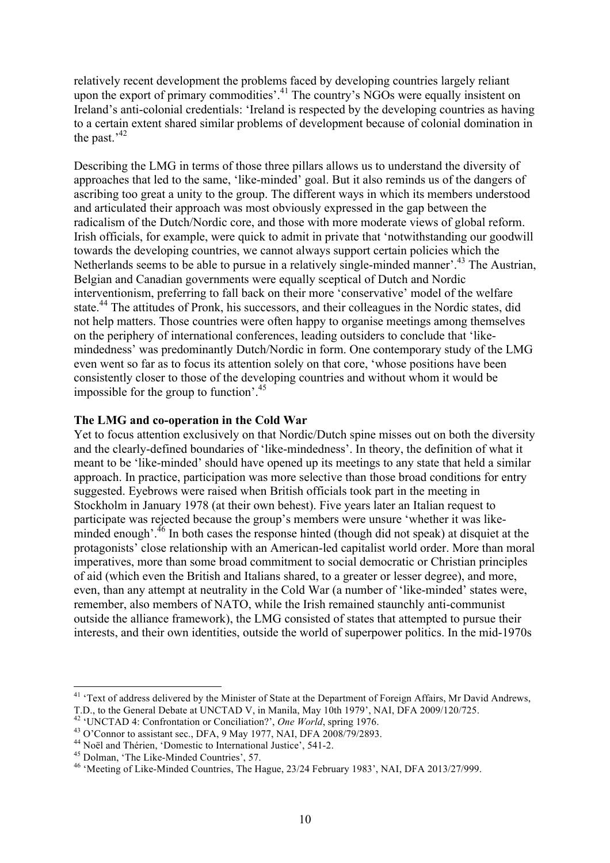relatively recent development the problems faced by developing countries largely reliant upon the export of primary commodities'.<sup>41</sup> The country's NGOs were equally insistent on Ireland's anti-colonial credentials: 'Ireland is respected by the developing countries as having to a certain extent shared similar problems of development because of colonial domination in the past.<sup>42</sup>

Describing the LMG in terms of those three pillars allows us to understand the diversity of approaches that led to the same, 'like-minded' goal. But it also reminds us of the dangers of ascribing too great a unity to the group. The different ways in which its members understood and articulated their approach was most obviously expressed in the gap between the radicalism of the Dutch/Nordic core, and those with more moderate views of global reform. Irish officials, for example, were quick to admit in private that 'notwithstanding our goodwill towards the developing countries, we cannot always support certain policies which the Netherlands seems to be able to pursue in a relatively single-minded manner'.<sup>43</sup> The Austrian, Belgian and Canadian governments were equally sceptical of Dutch and Nordic interventionism, preferring to fall back on their more 'conservative' model of the welfare state.44 The attitudes of Pronk, his successors, and their colleagues in the Nordic states, did not help matters. Those countries were often happy to organise meetings among themselves on the periphery of international conferences, leading outsiders to conclude that 'likemindedness' was predominantly Dutch/Nordic in form. One contemporary study of the LMG even went so far as to focus its attention solely on that core, 'whose positions have been consistently closer to those of the developing countries and without whom it would be impossible for the group to function'.<sup>45</sup>

# **The LMG and co-operation in the Cold War**

Yet to focus attention exclusively on that Nordic/Dutch spine misses out on both the diversity and the clearly-defined boundaries of 'like-mindedness'. In theory, the definition of what it meant to be 'like-minded' should have opened up its meetings to any state that held a similar approach. In practice, participation was more selective than those broad conditions for entry suggested. Eyebrows were raised when British officials took part in the meeting in Stockholm in January 1978 (at their own behest). Five years later an Italian request to participate was rejected because the group's members were unsure 'whether it was likeminded enough'.<sup>46</sup> In both cases the response hinted (though did not speak) at disquiet at the protagonists' close relationship with an American-led capitalist world order. More than moral imperatives, more than some broad commitment to social democratic or Christian principles of aid (which even the British and Italians shared, to a greater or lesser degree), and more, even, than any attempt at neutrality in the Cold War (a number of 'like-minded' states were, remember, also members of NATO, while the Irish remained staunchly anti-communist outside the alliance framework), the LMG consisted of states that attempted to pursue their interests, and their own identities, outside the world of superpower politics. In the mid-1970s

<sup>&</sup>lt;sup>41</sup> 'Text of address delivered by the Minister of State at the Department of Foreign Affairs, Mr David Andrews,

T.D., to the General Debate at UNCTAD V, in Manila, May 10th 1979', NAI, DFA 2009/120/725.<br>
<sup>42</sup> 'UNCTAD 4: Confrontation or Conciliation?', *One World*, spring 1976.<br>
<sup>43</sup> O'Connor to assistant sec., DFA, 9 May 1977, NAI,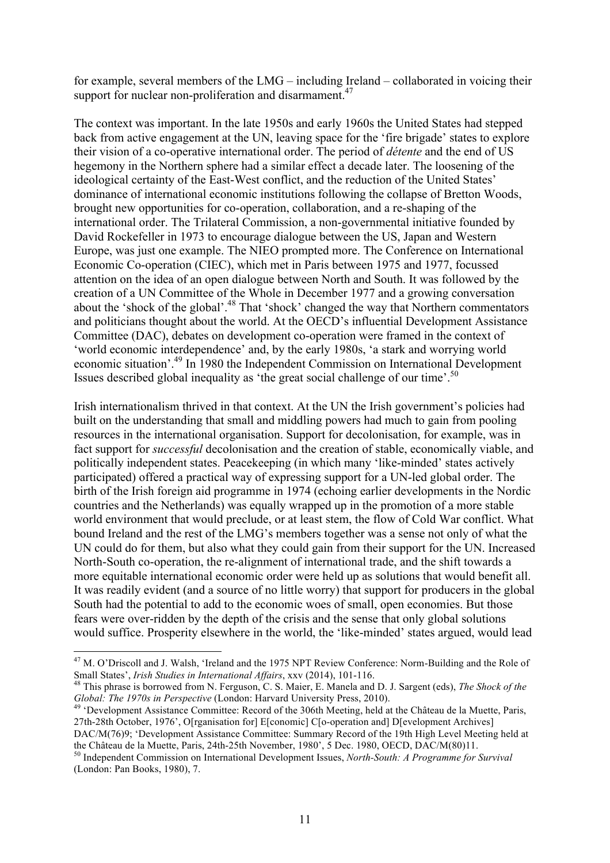for example, several members of the LMG – including Ireland – collaborated in voicing their support for nuclear non-proliferation and disarmament.<sup>47</sup>

The context was important. In the late 1950s and early 1960s the United States had stepped back from active engagement at the UN, leaving space for the 'fire brigade' states to explore their vision of a co-operative international order. The period of *détente* and the end of US hegemony in the Northern sphere had a similar effect a decade later. The loosening of the ideological certainty of the East-West conflict, and the reduction of the United States' dominance of international economic institutions following the collapse of Bretton Woods, brought new opportunities for co-operation, collaboration, and a re-shaping of the international order. The Trilateral Commission, a non-governmental initiative founded by David Rockefeller in 1973 to encourage dialogue between the US, Japan and Western Europe, was just one example. The NIEO prompted more. The Conference on International Economic Co-operation (CIEC), which met in Paris between 1975 and 1977, focussed attention on the idea of an open dialogue between North and South. It was followed by the creation of a UN Committee of the Whole in December 1977 and a growing conversation about the 'shock of the global'.<sup>48</sup> That 'shock' changed the way that Northern commentators and politicians thought about the world. At the OECD's influential Development Assistance Committee (DAC), debates on development co-operation were framed in the context of 'world economic interdependence' and, by the early 1980s, 'a stark and worrying world economic situation'.49 In 1980 the Independent Commission on International Development Issues described global inequality as 'the great social challenge of our time'.<sup>50</sup>

Irish internationalism thrived in that context. At the UN the Irish government's policies had built on the understanding that small and middling powers had much to gain from pooling resources in the international organisation. Support for decolonisation, for example, was in fact support for *successful* decolonisation and the creation of stable, economically viable, and politically independent states. Peacekeeping (in which many 'like-minded' states actively participated) offered a practical way of expressing support for a UN-led global order. The birth of the Irish foreign aid programme in 1974 (echoing earlier developments in the Nordic countries and the Netherlands) was equally wrapped up in the promotion of a more stable world environment that would preclude, or at least stem, the flow of Cold War conflict. What bound Ireland and the rest of the LMG's members together was a sense not only of what the UN could do for them, but also what they could gain from their support for the UN. Increased North-South co-operation, the re-alignment of international trade, and the shift towards a more equitable international economic order were held up as solutions that would benefit all. It was readily evident (and a source of no little worry) that support for producers in the global South had the potential to add to the economic woes of small, open economies. But those fears were over-ridden by the depth of the crisis and the sense that only global solutions would suffice. Prosperity elsewhere in the world, the 'like-minded' states argued, would lead

<sup>47</sup> M. O'Driscoll and J. Walsh, 'Ireland and the 1975 NPT Review Conference: Norm-Building and the Role of Small States', *Irish Studies in International Affairs*, xxv (2014), 101-116.<br><sup>48</sup> This phrase is borrowed from N. Ferguson, C. S. Maier, E. Manela and D. J. Sargent (eds), *The Shock of the* 

*Global: The 1970s in Perspective* (London: Harvard University Press, 2010). <sup>49</sup> 'Development Assistance Committee: Record of the 306th Meeting, held at the Château de la Muette, Paris,

<sup>27</sup>th-28th October, 1976', O[rganisation for] E[conomic] C[o-operation and] D[evelopment Archives] DAC/M(76)9; 'Development Assistance Committee: Summary Record of the 19th High Level Meeting held at the Château de la Muette, Paris, 24th-25th November, 1980', 5 Dec. 1980, OECD, DAC/M(80)11.<br><sup>50</sup> Independent Commission on International Development Issues, *North-South: A Programme for Survival* 

<sup>(</sup>London: Pan Books, 1980), 7.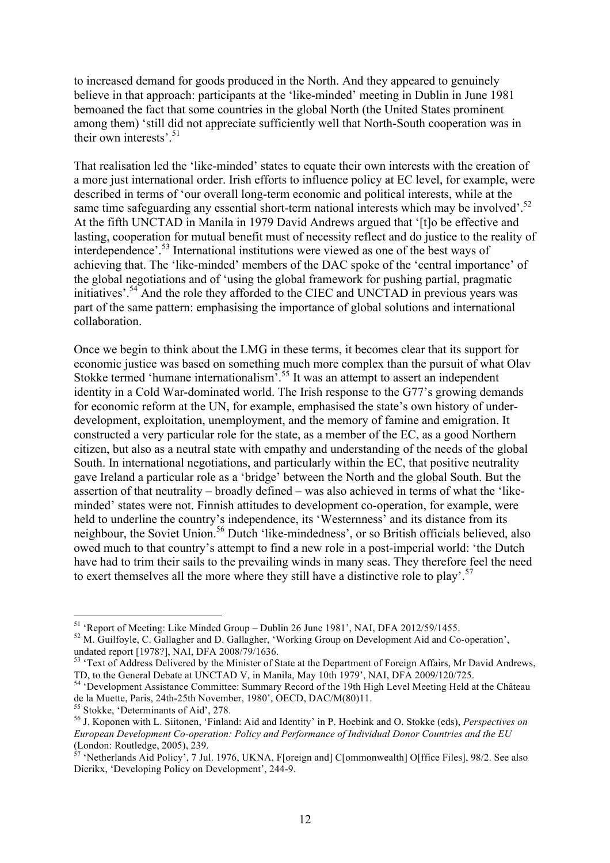to increased demand for goods produced in the North. And they appeared to genuinely believe in that approach: participants at the 'like-minded' meeting in Dublin in June 1981 bemoaned the fact that some countries in the global North (the United States prominent among them) 'still did not appreciate sufficiently well that North-South cooperation was in their own interests'  $51$ 

That realisation led the 'like-minded' states to equate their own interests with the creation of a more just international order. Irish efforts to influence policy at EC level, for example, were described in terms of 'our overall long-term economic and political interests, while at the same time safeguarding any essential short-term national interests which may be involved'.<sup>52</sup> At the fifth UNCTAD in Manila in 1979 David Andrews argued that '[t]o be effective and lasting, cooperation for mutual benefit must of necessity reflect and do justice to the reality of interdependence'.<sup>53</sup> International institutions were viewed as one of the best ways of achieving that. The 'like-minded' members of the DAC spoke of the 'central importance' of the global negotiations and of 'using the global framework for pushing partial, pragmatic initiatives'.54 And the role they afforded to the CIEC and UNCTAD in previous years was part of the same pattern: emphasising the importance of global solutions and international collaboration.

Once we begin to think about the LMG in these terms, it becomes clear that its support for economic justice was based on something much more complex than the pursuit of what Olav Stokke termed 'humane internationalism'.<sup>55</sup> It was an attempt to assert an independent identity in a Cold War-dominated world. The Irish response to the G77's growing demands for economic reform at the UN, for example, emphasised the state's own history of underdevelopment, exploitation, unemployment, and the memory of famine and emigration. It constructed a very particular role for the state, as a member of the EC, as a good Northern citizen, but also as a neutral state with empathy and understanding of the needs of the global South. In international negotiations, and particularly within the EC, that positive neutrality gave Ireland a particular role as a 'bridge' between the North and the global South. But the assertion of that neutrality – broadly defined – was also achieved in terms of what the 'likeminded' states were not. Finnish attitudes to development co-operation, for example, were held to underline the country's independence, its 'Westernness' and its distance from its neighbour, the Soviet Union.<sup>56</sup> Dutch 'like-mindedness', or so British officials believed, also owed much to that country's attempt to find a new role in a post-imperial world: 'the Dutch have had to trim their sails to the prevailing winds in many seas. They therefore feel the need to exert themselves all the more where they still have a distinctive role to play'.<sup>57</sup>

<sup>&</sup>lt;sup>51</sup> 'Report of Meeting: Like Minded Group – Dublin 26 June 1981', NAI, DFA 2012/59/1455.<br><sup>52</sup> M. Guilfoyle, C. Gallagher and D. Gallagher, 'Working Group on Development Aid and Co-operation', undated report [1978?], NAI, DFA 2008/79/1636.<br><sup>53</sup> 'Text of Address Delivered by the Minister of State at the Department of Foreign Affairs, Mr David Andrews,

TD, to the General Debate at UNCTAD V, in Manila, May 10th 1979', NAI, DFA 2009/120/725.<br><sup>54</sup> 'Development Assistance Committee: Summary Record of the 19th High Level Meeting Held at the Château de la Muette, Paris, 24th-2

<sup>&</sup>lt;sup>55</sup> Stokke, 'Determinants of Aid', 278.<br><sup>56</sup> J. Koponen with L. Siitonen, 'Finland: Aid and Identity' in P. Hoebink and O. Stokke (eds), *Perspectives on European Development Co-operation: Policy and Performance of Individual Donor Countries and the EU*  (London: Routledge, 2005), 239.

<sup>57</sup> 'Netherlands Aid Policy', 7 Jul. 1976, UKNA, F[oreign and] C[ommonwealth] O[ffice Files], 98/2. See also Dierikx, 'Developing Policy on Development', 244-9.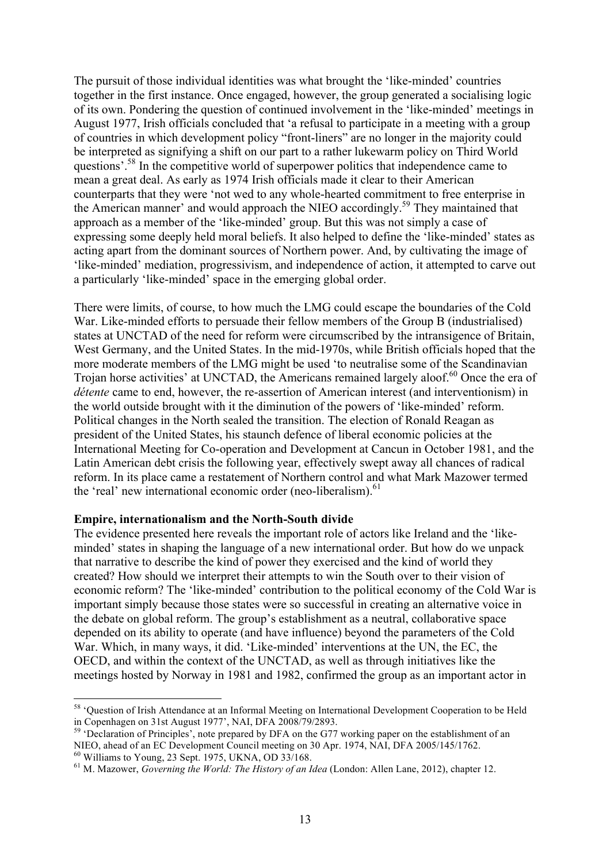The pursuit of those individual identities was what brought the 'like-minded' countries together in the first instance. Once engaged, however, the group generated a socialising logic of its own. Pondering the question of continued involvement in the 'like-minded' meetings in August 1977, Irish officials concluded that 'a refusal to participate in a meeting with a group of countries in which development policy "front-liners" are no longer in the majority could be interpreted as signifying a shift on our part to a rather lukewarm policy on Third World questions'.58 In the competitive world of superpower politics that independence came to mean a great deal. As early as 1974 Irish officials made it clear to their American counterparts that they were 'not wed to any whole-hearted commitment to free enterprise in the American manner' and would approach the NIEO accordingly.<sup>59</sup> They maintained that approach as a member of the 'like-minded' group. But this was not simply a case of expressing some deeply held moral beliefs. It also helped to define the 'like-minded' states as acting apart from the dominant sources of Northern power. And, by cultivating the image of 'like-minded' mediation, progressivism, and independence of action, it attempted to carve out a particularly 'like-minded' space in the emerging global order.

There were limits, of course, to how much the LMG could escape the boundaries of the Cold War. Like-minded efforts to persuade their fellow members of the Group B (industrialised) states at UNCTAD of the need for reform were circumscribed by the intransigence of Britain, West Germany, and the United States. In the mid-1970s, while British officials hoped that the more moderate members of the LMG might be used 'to neutralise some of the Scandinavian Trojan horse activities' at UNCTAD, the Americans remained largely aloof.<sup>60</sup> Once the era of *détente* came to end, however, the re-assertion of American interest (and interventionism) in the world outside brought with it the diminution of the powers of 'like-minded' reform. Political changes in the North sealed the transition. The election of Ronald Reagan as president of the United States, his staunch defence of liberal economic policies at the International Meeting for Co-operation and Development at Cancun in October 1981, and the Latin American debt crisis the following year, effectively swept away all chances of radical reform. In its place came a restatement of Northern control and what Mark Mazower termed the 'real' new international economic order (neo-liberalism). $<sup>61</sup>$ </sup>

## **Empire, internationalism and the North-South divide**

The evidence presented here reveals the important role of actors like Ireland and the 'likeminded' states in shaping the language of a new international order. But how do we unpack that narrative to describe the kind of power they exercised and the kind of world they created? How should we interpret their attempts to win the South over to their vision of economic reform? The 'like-minded' contribution to the political economy of the Cold War is important simply because those states were so successful in creating an alternative voice in the debate on global reform. The group's establishment as a neutral, collaborative space depended on its ability to operate (and have influence) beyond the parameters of the Cold War. Which, in many ways, it did. 'Like-minded' interventions at the UN, the EC, the OECD, and within the context of the UNCTAD, as well as through initiatives like the meetings hosted by Norway in 1981 and 1982, confirmed the group as an important actor in

<sup>58</sup> 'Question of Irish Attendance at an Informal Meeting on International Development Cooperation to be Held in Copenhagen on 31st August 1977', NAI, DFA 2008/79/2893.<br><sup>59</sup> 'Declaration of Principles', note prepared by DFA on the G77 working paper on the establishment of an

NIEO, ahead of an EC Development Council meeting on 30 Apr. 1974, NAI, DFA 2005/145/1762.<br><sup>60</sup> Williams to Young, 23 Sept. 1975, UKNA, OD 33/168.<br><sup>61</sup> M. Mazower, *Governing the World: The History of an Idea* (London: Alle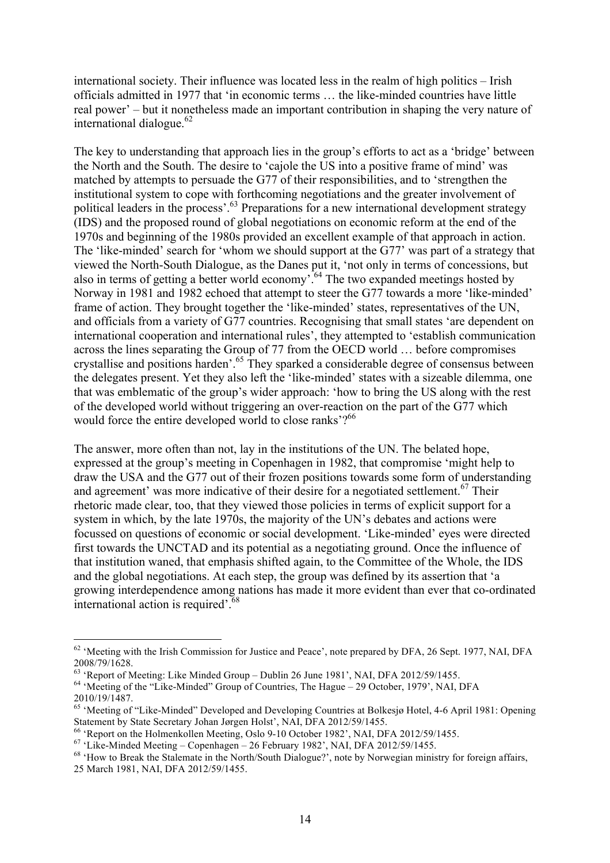international society. Their influence was located less in the realm of high politics – Irish officials admitted in 1977 that 'in economic terms … the like-minded countries have little real power' – but it nonetheless made an important contribution in shaping the very nature of international dialogue. $62$ 

The key to understanding that approach lies in the group's efforts to act as a 'bridge' between the North and the South. The desire to 'cajole the US into a positive frame of mind' was matched by attempts to persuade the G77 of their responsibilities, and to 'strengthen the institutional system to cope with forthcoming negotiations and the greater involvement of political leaders in the process'.63 Preparations for a new international development strategy (IDS) and the proposed round of global negotiations on economic reform at the end of the 1970s and beginning of the 1980s provided an excellent example of that approach in action. The 'like-minded' search for 'whom we should support at the G77' was part of a strategy that viewed the North-South Dialogue, as the Danes put it, 'not only in terms of concessions, but also in terms of getting a better world economy'.64 The two expanded meetings hosted by Norway in 1981 and 1982 echoed that attempt to steer the G77 towards a more 'like-minded' frame of action. They brought together the 'like-minded' states, representatives of the UN, and officials from a variety of G77 countries. Recognising that small states 'are dependent on international cooperation and international rules', they attempted to 'establish communication across the lines separating the Group of 77 from the OECD world … before compromises crystallise and positions harden'.65 They sparked a considerable degree of consensus between the delegates present. Yet they also left the 'like-minded' states with a sizeable dilemma, one that was emblematic of the group's wider approach: 'how to bring the US along with the rest of the developed world without triggering an over-reaction on the part of the G77 which would force the entire developed world to close ranks'?<sup>66</sup>

The answer, more often than not, lay in the institutions of the UN. The belated hope, expressed at the group's meeting in Copenhagen in 1982, that compromise 'might help to draw the USA and the G77 out of their frozen positions towards some form of understanding and agreement' was more indicative of their desire for a negotiated settlement.<sup>67</sup> Their rhetoric made clear, too, that they viewed those policies in terms of explicit support for a system in which, by the late 1970s, the majority of the UN's debates and actions were focussed on questions of economic or social development. 'Like-minded' eyes were directed first towards the UNCTAD and its potential as a negotiating ground. Once the influence of that institution waned, that emphasis shifted again, to the Committee of the Whole, the IDS and the global negotiations. At each step, the group was defined by its assertion that 'a growing interdependence among nations has made it more evident than ever that co-ordinated international action is required'. $68$ 

<sup>&</sup>lt;sup>62</sup> 'Meeting with the Irish Commission for Justice and Peace', note prepared by DFA, 26 Sept. 1977, NAI, DFA 2008/79/1628.<br><sup>63</sup> 'Report of Meeting: Like Minded Group – Dublin 26 June 1981', NAI, DFA 2012/59/1455.

 $64$  'Meeting of the "Like-Minded" Group of Countries, The Hague – 29 October, 1979', NAI, DFA 2010/19/1487.

<sup>65</sup> 'Meeting of "Like-Minded" Developed and Developing Countries at Bolkesjø Hotel, 4-6 April 1981: Opening Statement by State Secretary Johan Jørgen Holst', NAI, DFA 2012/59/1455.<br>
<sup>66</sup> 'Report on the Holmenkollen Meeting, Oslo 9-10 October 1982', NAI, DFA 2012/59/1455.<br>
<sup>67</sup> 'Like-Minded Meeting – Copenhagen – 26 February 1982

<sup>25</sup> March 1981, NAI, DFA 2012/59/1455.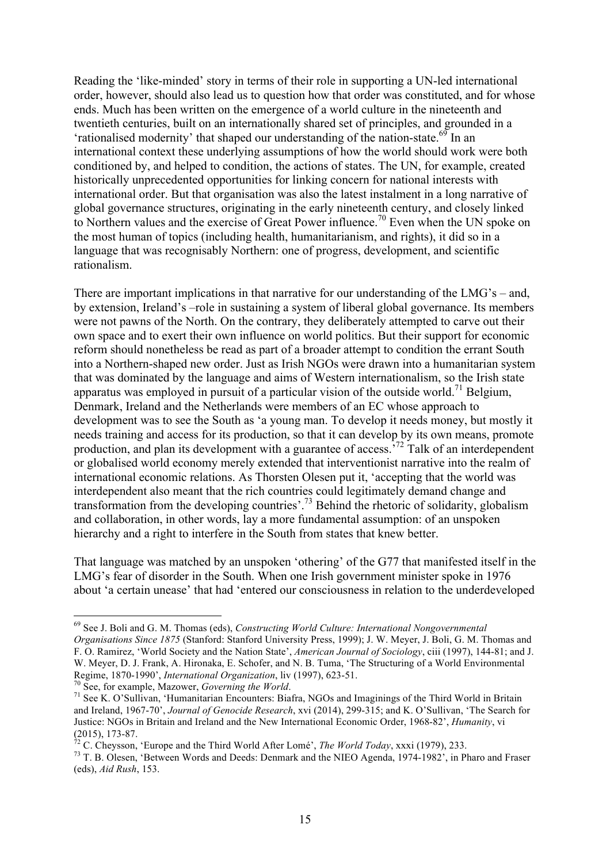Reading the 'like-minded' story in terms of their role in supporting a UN-led international order, however, should also lead us to question how that order was constituted, and for whose ends. Much has been written on the emergence of a world culture in the nineteenth and twentieth centuries, built on an internationally shared set of principles, and grounded in a 'rationalised modernity' that shaped our understanding of the nation-state.<sup>69</sup> In an international context these underlying assumptions of how the world should work were both conditioned by, and helped to condition, the actions of states. The UN, for example, created historically unprecedented opportunities for linking concern for national interests with international order. But that organisation was also the latest instalment in a long narrative of global governance structures, originating in the early nineteenth century, and closely linked to Northern values and the exercise of Great Power influence.<sup>70</sup> Even when the UN spoke on the most human of topics (including health, humanitarianism, and rights), it did so in a language that was recognisably Northern: one of progress, development, and scientific rationalism.

There are important implications in that narrative for our understanding of the LMG's – and, by extension, Ireland's –role in sustaining a system of liberal global governance. Its members were not pawns of the North. On the contrary, they deliberately attempted to carve out their own space and to exert their own influence on world politics. But their support for economic reform should nonetheless be read as part of a broader attempt to condition the errant South into a Northern-shaped new order. Just as Irish NGOs were drawn into a humanitarian system that was dominated by the language and aims of Western internationalism, so the Irish state apparatus was employed in pursuit of a particular vision of the outside world.<sup>71</sup> Belgium, Denmark, Ireland and the Netherlands were members of an EC whose approach to development was to see the South as 'a young man. To develop it needs money, but mostly it needs training and access for its production, so that it can develop by its own means, promote production, and plan its development with a guarantee of access.'72 Talk of an interdependent or globalised world economy merely extended that interventionist narrative into the realm of international economic relations. As Thorsten Olesen put it, 'accepting that the world was interdependent also meant that the rich countries could legitimately demand change and transformation from the developing countries'.<sup>73</sup> Behind the rhetoric of solidarity, globalism and collaboration, in other words, lay a more fundamental assumption: of an unspoken hierarchy and a right to interfere in the South from states that knew better.

That language was matched by an unspoken 'othering' of the G77 that manifested itself in the LMG's fear of disorder in the South. When one Irish government minister spoke in 1976 about 'a certain unease' that had 'entered our consciousness in relation to the underdeveloped

<sup>69</sup> See J. Boli and G. M. Thomas (eds), *Constructing World Culture: International Nongovernmental Organisations Since 1875* (Stanford: Stanford University Press, 1999); J. W. Meyer, J. Boli, G. M. Thomas and F. O. Ramirez, 'World Society and the Nation State', *American Journal of Sociology*, ciii (1997), 144-81; and J. W. Meyer, D. J. Frank, A. Hironaka, E. Schofer, and N. B. Tuma, 'The Structuring of a World Environmental Regime, 1870-1990', *International Organization*, liv (1997), 623-51.

<sup>&</sup>lt;sup>70</sup> See, for example, Mazower, *Governing the World*.<br><sup>71</sup> See K. O'Sullivan, 'Humanitarian Encounters: Biafra, NGOs and Imaginings of the Third World in Britain and Ireland, 1967-70', *Journal of Genocide Research*, xvi (2014), 299-315; and K. O'Sullivan, 'The Search for Justice: NGOs in Britain and Ireland and the New International Economic Order, 1968-82', *Humanity*, vi

<sup>&</sup>lt;sup>72</sup> C. Cheysson, 'Europe and the Third World After Lomé', *The World Today*, xxxi (1979), 233.<br><sup>73</sup> T. B. Olesen, 'Between Words and Deeds: Denmark and the NIEO Agenda, 1974-1982', in Pharo and Fraser (eds), *Aid Rush*, 153.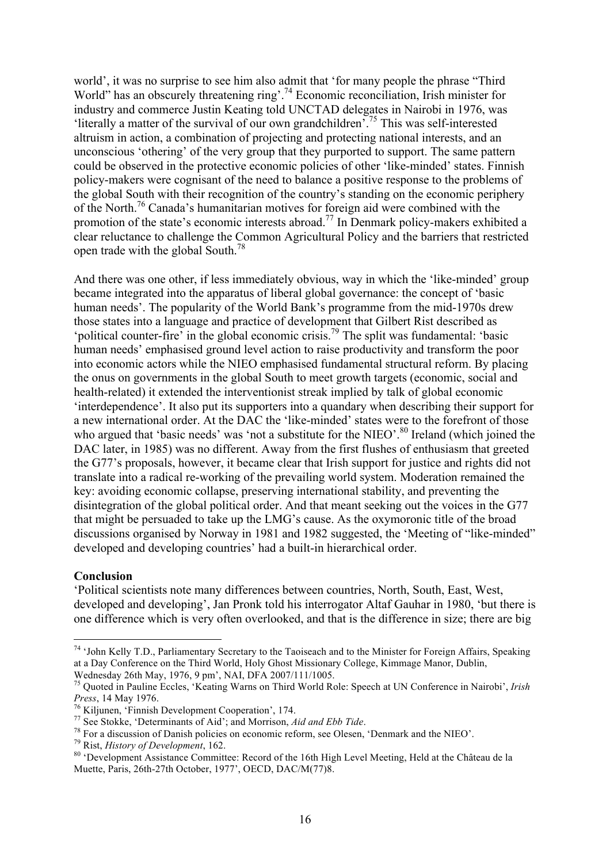world', it was no surprise to see him also admit that 'for many people the phrase "Third World" has an obscurely threatening ring'.<sup>74</sup> Economic reconciliation, Irish minister for industry and commerce Justin Keating told UNCTAD delegates in Nairobi in 1976, was 'literally a matter of the survival of our own grandchildren'.<sup>75</sup> This was self-interested altruism in action, a combination of projecting and protecting national interests, and an unconscious 'othering' of the very group that they purported to support. The same pattern could be observed in the protective economic policies of other 'like-minded' states. Finnish policy-makers were cognisant of the need to balance a positive response to the problems of the global South with their recognition of the country's standing on the economic periphery of the North.<sup>76</sup> Canada's humanitarian motives for foreign aid were combined with the promotion of the state's economic interests abroad.<sup>77</sup> In Denmark policy-makers exhibited a clear reluctance to challenge the Common Agricultural Policy and the barriers that restricted open trade with the global South.<sup>78</sup>

And there was one other, if less immediately obvious, way in which the 'like-minded' group became integrated into the apparatus of liberal global governance: the concept of 'basic human needs'. The popularity of the World Bank's programme from the mid-1970s drew those states into a language and practice of development that Gilbert Rist described as 'political counter-fire' in the global economic crisis.79 The split was fundamental: 'basic human needs' emphasised ground level action to raise productivity and transform the poor into economic actors while the NIEO emphasised fundamental structural reform. By placing the onus on governments in the global South to meet growth targets (economic, social and health-related) it extended the interventionist streak implied by talk of global economic 'interdependence'. It also put its supporters into a quandary when describing their support for a new international order. At the DAC the 'like-minded' states were to the forefront of those who argued that 'basic needs' was 'not a substitute for the NIEO'.<sup>80</sup> Ireland (which joined the DAC later, in 1985) was no different. Away from the first flushes of enthusiasm that greeted the G77's proposals, however, it became clear that Irish support for justice and rights did not translate into a radical re-working of the prevailing world system. Moderation remained the key: avoiding economic collapse, preserving international stability, and preventing the disintegration of the global political order. And that meant seeking out the voices in the G77 that might be persuaded to take up the LMG's cause. As the oxymoronic title of the broad discussions organised by Norway in 1981 and 1982 suggested, the 'Meeting of "like-minded" developed and developing countries' had a built-in hierarchical order.

#### **Conclusion**

'Political scientists note many differences between countries, North, South, East, West, developed and developing', Jan Pronk told his interrogator Altaf Gauhar in 1980, 'but there is one difference which is very often overlooked, and that is the difference in size; there are big

<sup>74</sup> 'John Kelly T.D., Parliamentary Secretary to the Taoiseach and to the Minister for Foreign Affairs, Speaking at a Day Conference on the Third World, Holy Ghost Missionary College, Kimmage Manor, Dublin, Wednesday 26th May, 1976, 9 pm', NAI, DFA 2007/111/1005.

<sup>&</sup>lt;sup>75</sup> Ouoted in Pauline Eccles, 'Keating Warns on Third World Role: Speech at UN Conference in Nairobi', *Irish Press*, 14 May 1976.<br><sup>76</sup> Kiljunen, 'Finnish Development Cooperation', 174.<br><sup>77</sup> See Stokke, 'Determinants of Aid'; and Morrison, *Aid and Ebb Tide*.<br><sup>78</sup> For a discussion of Danish policies on economic reform, see Olesen

Muette, Paris, 26th-27th October, 1977', OECD, DAC/M(77)8.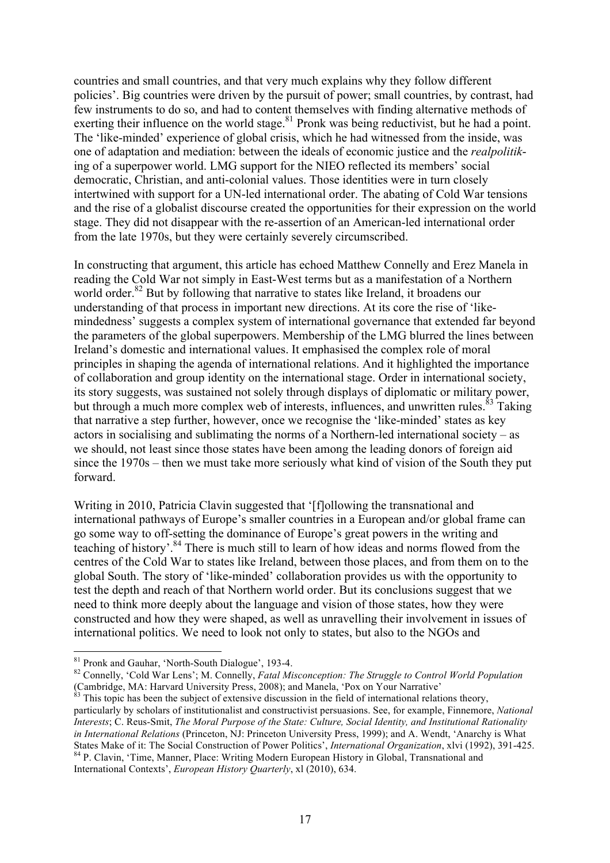countries and small countries, and that very much explains why they follow different policies'. Big countries were driven by the pursuit of power; small countries, by contrast, had few instruments to do so, and had to content themselves with finding alternative methods of exerting their influence on the world stage. $81$  Pronk was being reductivist, but he had a point. The 'like-minded' experience of global crisis, which he had witnessed from the inside, was one of adaptation and mediation: between the ideals of economic justice and the *realpolitik*ing of a superpower world. LMG support for the NIEO reflected its members' social democratic, Christian, and anti-colonial values. Those identities were in turn closely intertwined with support for a UN-led international order. The abating of Cold War tensions and the rise of a globalist discourse created the opportunities for their expression on the world stage. They did not disappear with the re-assertion of an American-led international order from the late 1970s, but they were certainly severely circumscribed.

In constructing that argument, this article has echoed Matthew Connelly and Erez Manela in reading the Cold War not simply in East-West terms but as a manifestation of a Northern world order.<sup>82</sup> But by following that narrative to states like Ireland, it broadens our understanding of that process in important new directions. At its core the rise of 'likemindedness' suggests a complex system of international governance that extended far beyond the parameters of the global superpowers. Membership of the LMG blurred the lines between Ireland's domestic and international values. It emphasised the complex role of moral principles in shaping the agenda of international relations. And it highlighted the importance of collaboration and group identity on the international stage. Order in international society, its story suggests, was sustained not solely through displays of diplomatic or military power, but through a much more complex web of interests, influences, and unwritten rules.<sup>83</sup> Taking that narrative a step further, however, once we recognise the 'like-minded' states as key actors in socialising and sublimating the norms of a Northern-led international society – as we should, not least since those states have been among the leading donors of foreign aid since the 1970s – then we must take more seriously what kind of vision of the South they put forward.

Writing in 2010, Patricia Clavin suggested that '[f]ollowing the transnational and international pathways of Europe's smaller countries in a European and/or global frame can go some way to off-setting the dominance of Europe's great powers in the writing and teaching of history'.84 There is much still to learn of how ideas and norms flowed from the centres of the Cold War to states like Ireland, between those places, and from them on to the global South. The story of 'like-minded' collaboration provides us with the opportunity to test the depth and reach of that Northern world order. But its conclusions suggest that we need to think more deeply about the language and vision of those states, how they were constructed and how they were shaped, as well as unravelling their involvement in issues of international politics. We need to look not only to states, but also to the NGOs and

<sup>&</sup>lt;sup>81</sup> Pronk and Gauhar, 'North-South Dialogue', 193-4.<br><sup>82</sup> Connelly, 'Cold War Lens'; M. Connelly, *Fatal Misconception: The Struggle to Control World Population* (Cambridge, MA: Harvard University Press, 2008); and Manela, 'Pox on Your Narrative' <sup>83</sup> This topic has been the subject of extensive discussion in the field of international relations theory,

particularly by scholars of institutionalist and constructivist persuasions. See, for example, Finnemore, *National Interests*; C. Reus-Smit, *The Moral Purpose of the State: Culture, Social Identity, and Institutional Rationality in International Relations* (Princeton, NJ: Princeton University Press, 1999); and A. Wendt, 'Anarchy is What States Make of it: The Social Construction of Power Politics', *International Organization*, xlvi (1992), 391-425. <sup>84</sup> P. Clavin. 'Time, Manner, Place: Writing Modern European History in Global, Transnational and International Contexts', *European History Quarterly*, xl (2010), 634.